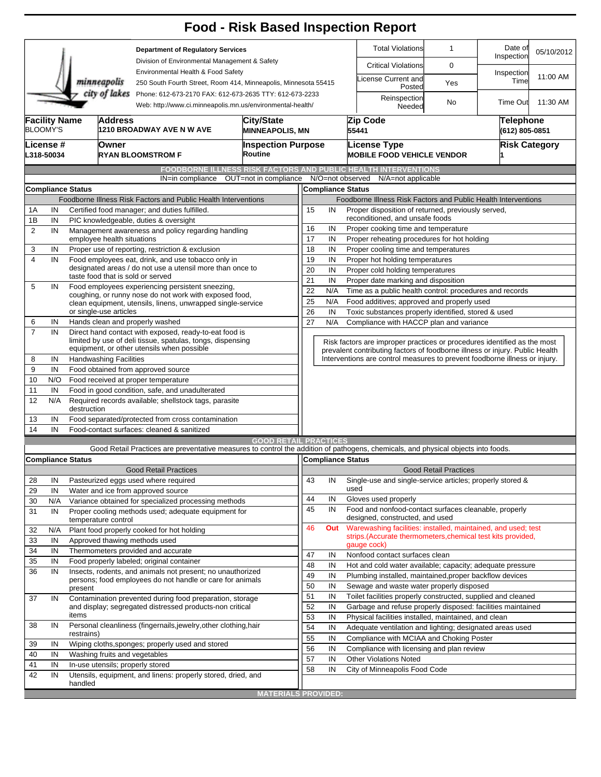|                                                                                                                                        |                                                     |                                                                                                                                                                           |                                                                                                        |                                                                                                                                 |                              |                                 |                                                                                                                                                          |                                                                     | <b>Food - Risk Based Inspection Report</b>                                                                                                             |                              |                    |          |  |  |
|----------------------------------------------------------------------------------------------------------------------------------------|-----------------------------------------------------|---------------------------------------------------------------------------------------------------------------------------------------------------------------------------|--------------------------------------------------------------------------------------------------------|---------------------------------------------------------------------------------------------------------------------------------|------------------------------|---------------------------------|----------------------------------------------------------------------------------------------------------------------------------------------------------|---------------------------------------------------------------------|--------------------------------------------------------------------------------------------------------------------------------------------------------|------------------------------|--------------------|----------|--|--|
|                                                                                                                                        |                                                     |                                                                                                                                                                           |                                                                                                        | <b>Department of Regulatory Services</b><br>Division of Environmental Management & Safety<br>Environmental Health & Food Safety |                              |                                 |                                                                                                                                                          |                                                                     | <b>Total Violations</b>                                                                                                                                | $\mathbf 1$                  |                    |          |  |  |
|                                                                                                                                        |                                                     |                                                                                                                                                                           |                                                                                                        |                                                                                                                                 |                              |                                 |                                                                                                                                                          |                                                                     | <b>Critical Violations</b>                                                                                                                             | 0                            |                    |          |  |  |
| minneapolis                                                                                                                            |                                                     |                                                                                                                                                                           |                                                                                                        | 250 South Fourth Street, Room 414, Minneapolis, Minnesota 55415                                                                 |                              |                                 |                                                                                                                                                          |                                                                     | icense Current and<br>Posted                                                                                                                           | Yes                          | Inspection<br>Time | 11:00 AM |  |  |
| city of lakes<br>Phone: 612-673-2170 FAX: 612-673-2635 TTY: 612-673-2233<br>Web: http://www.ci.minneapolis.mn.us/environmental-health/ |                                                     |                                                                                                                                                                           |                                                                                                        |                                                                                                                                 |                              |                                 |                                                                                                                                                          | Reinspection<br>Needed                                              | No                                                                                                                                                     | <b>Time Out</b>              | 11:30 AM           |          |  |  |
|                                                                                                                                        | <b>Facility Name</b><br>Address<br><b>BLOOMY'S</b>  |                                                                                                                                                                           |                                                                                                        | 1210 BROADWAY AVE N W AVE                                                                                                       | City/State                   | <b>MINNEAPOLIS, MN</b>          |                                                                                                                                                          |                                                                     | Zip Code<br>55441                                                                                                                                      | Telephone<br>(612) 805-0851  |                    |          |  |  |
|                                                                                                                                        | License #<br>L318-50034                             |                                                                                                                                                                           | Owner<br>RYAN BLOOMSTROM F                                                                             | Routine                                                                                                                         | <b>Inspection Purpose</b>    |                                 |                                                                                                                                                          | <b>License Type</b><br><b>MOBILE FOOD VEHICLE VENDOR</b>            |                                                                                                                                                        | <b>Risk Category</b>         |                    |          |  |  |
|                                                                                                                                        |                                                     |                                                                                                                                                                           |                                                                                                        | IN=in compliance                                                                                                                | OUT=not in compliance        |                                 |                                                                                                                                                          |                                                                     | <b>FOODBORNE ILLNESS RISK FACTORS AND PUBLIC HEALTH INTERVENTIONS</b><br>N/O=not observed<br>N/A=not applicable                                        |                              |                    |          |  |  |
|                                                                                                                                        |                                                     | <b>Compliance Status</b>                                                                                                                                                  |                                                                                                        |                                                                                                                                 |                              |                                 |                                                                                                                                                          |                                                                     | <b>Compliance Status</b>                                                                                                                               |                              |                    |          |  |  |
|                                                                                                                                        |                                                     |                                                                                                                                                                           |                                                                                                        | Foodborne Illness Risk Factors and Public Health Interventions                                                                  |                              |                                 |                                                                                                                                                          |                                                                     | Foodborne Illness Risk Factors and Public Health Interventions                                                                                         |                              |                    |          |  |  |
| 1Α                                                                                                                                     | Certified food manager; and duties fulfilled.<br>IN |                                                                                                                                                                           |                                                                                                        |                                                                                                                                 |                              |                                 |                                                                                                                                                          | Proper disposition of returned, previously served,<br>15<br>IN      |                                                                                                                                                        |                              |                    |          |  |  |
| 1B                                                                                                                                     | IN<br>PIC knowledgeable, duties & oversight         |                                                                                                                                                                           |                                                                                                        |                                                                                                                                 |                              | reconditioned, and unsafe foods |                                                                                                                                                          |                                                                     |                                                                                                                                                        |                              |                    |          |  |  |
| $\overline{2}$<br>IN                                                                                                                   |                                                     | Management awareness and policy regarding handling                                                                                                                        |                                                                                                        |                                                                                                                                 |                              |                                 | 16<br>IN<br>Proper cooking time and temperature                                                                                                          |                                                                     |                                                                                                                                                        |                              |                    |          |  |  |
| 3                                                                                                                                      |                                                     | employee health situations                                                                                                                                                |                                                                                                        |                                                                                                                                 |                              |                                 |                                                                                                                                                          | 17<br>IN<br>Proper reheating procedures for hot holding<br>18<br>IN |                                                                                                                                                        |                              |                    |          |  |  |
| 4                                                                                                                                      | IN<br>IN                                            |                                                                                                                                                                           | Proper use of reporting, restriction & exclusion<br>Food employees eat, drink, and use tobacco only in |                                                                                                                                 |                              |                                 |                                                                                                                                                          |                                                                     | Proper cooling time and temperatures<br>Proper hot holding temperatures                                                                                |                              |                    |          |  |  |
|                                                                                                                                        |                                                     |                                                                                                                                                                           |                                                                                                        | designated areas / do not use a utensil more than once to                                                                       |                              |                                 | 19<br>IN<br>20<br>IN<br>Proper cold holding temperatures                                                                                                 |                                                                     |                                                                                                                                                        |                              |                    |          |  |  |
|                                                                                                                                        |                                                     |                                                                                                                                                                           |                                                                                                        | taste food that is sold or served                                                                                               |                              | 21                              | IN<br>Proper date marking and disposition                                                                                                                |                                                                     |                                                                                                                                                        |                              |                    |          |  |  |
| 5                                                                                                                                      | IN                                                  | Food employees experiencing persistent sneezing,<br>coughing, or runny nose do not work with exposed food,<br>clean equipment, utensils, linens, unwrapped single-service |                                                                                                        |                                                                                                                                 |                              |                                 | 22                                                                                                                                                       | Time as a public health control: procedures and records<br>N/A      |                                                                                                                                                        |                              |                    |          |  |  |
|                                                                                                                                        |                                                     |                                                                                                                                                                           |                                                                                                        |                                                                                                                                 |                              |                                 | N/A<br>25<br>Food additives; approved and properly used                                                                                                  |                                                                     |                                                                                                                                                        |                              |                    |          |  |  |
|                                                                                                                                        |                                                     | or single-use articles                                                                                                                                                    |                                                                                                        |                                                                                                                                 |                              | 26                              | IN                                                                                                                                                       |                                                                     | Toxic substances properly identified, stored & used                                                                                                    |                              |                    |          |  |  |
| 6                                                                                                                                      | IN                                                  |                                                                                                                                                                           |                                                                                                        | Hands clean and properly washed                                                                                                 |                              |                                 | 27<br>N/A<br>Compliance with HACCP plan and variance                                                                                                     |                                                                     |                                                                                                                                                        |                              |                    |          |  |  |
| $\overline{7}$                                                                                                                         | IN                                                  | Direct hand contact with exposed, ready-to-eat food is<br>limited by use of deli tissue, spatulas, tongs, dispensing<br>equipment, or other utensils when possible        |                                                                                                        |                                                                                                                                 |                              |                                 | Risk factors are improper practices or procedures identified as the most<br>prevalent contributing factors of foodborne illness or injury. Public Health |                                                                     |                                                                                                                                                        |                              |                    |          |  |  |
| 8                                                                                                                                      | IN                                                  | <b>Handwashing Facilities</b>                                                                                                                                             |                                                                                                        |                                                                                                                                 |                              |                                 |                                                                                                                                                          |                                                                     | Interventions are control measures to prevent foodborne illness or injury.                                                                             |                              |                    |          |  |  |
| 9                                                                                                                                      | IN                                                  |                                                                                                                                                                           |                                                                                                        | Food obtained from approved source                                                                                              |                              |                                 |                                                                                                                                                          |                                                                     |                                                                                                                                                        |                              |                    |          |  |  |
| 10                                                                                                                                     | N/O                                                 |                                                                                                                                                                           |                                                                                                        | Food received at proper temperature                                                                                             |                              |                                 |                                                                                                                                                          |                                                                     |                                                                                                                                                        |                              |                    |          |  |  |
| 11                                                                                                                                     | IN                                                  |                                                                                                                                                                           |                                                                                                        | Food in good condition, safe, and unadulterated                                                                                 |                              |                                 |                                                                                                                                                          |                                                                     |                                                                                                                                                        |                              |                    |          |  |  |
| 12                                                                                                                                     | N/A                                                 | destruction                                                                                                                                                               |                                                                                                        | Required records available; shellstock tags, parasite                                                                           |                              |                                 |                                                                                                                                                          |                                                                     |                                                                                                                                                        |                              |                    |          |  |  |
| 13                                                                                                                                     | IN                                                  |                                                                                                                                                                           |                                                                                                        | Food separated/protected from cross contamination                                                                               |                              |                                 |                                                                                                                                                          |                                                                     |                                                                                                                                                        |                              |                    |          |  |  |
| 14                                                                                                                                     | IN                                                  |                                                                                                                                                                           |                                                                                                        | Food-contact surfaces: cleaned & sanitized                                                                                      |                              |                                 |                                                                                                                                                          |                                                                     |                                                                                                                                                        |                              |                    |          |  |  |
|                                                                                                                                        |                                                     |                                                                                                                                                                           |                                                                                                        |                                                                                                                                 | <b>GOOD RETAIL PRACTICES</b> |                                 |                                                                                                                                                          |                                                                     |                                                                                                                                                        |                              |                    |          |  |  |
|                                                                                                                                        |                                                     | <b>Compliance Status</b>                                                                                                                                                  |                                                                                                        |                                                                                                                                 |                              |                                 |                                                                                                                                                          |                                                                     | Good Retail Practices are preventative measures to control the addition of pathogens, chemicals, and physical objects into foods.<br>Compliance Status |                              |                    |          |  |  |
|                                                                                                                                        |                                                     |                                                                                                                                                                           |                                                                                                        | <b>Good Retail Practices</b>                                                                                                    |                              |                                 |                                                                                                                                                          |                                                                     |                                                                                                                                                        | <b>Good Retail Practices</b> |                    |          |  |  |
| 28                                                                                                                                     | IN                                                  |                                                                                                                                                                           |                                                                                                        | Pasteurized eggs used where required                                                                                            |                              | 43                              | IN                                                                                                                                                       |                                                                     | Single-use and single-service articles; properly stored &                                                                                              |                              |                    |          |  |  |
| 29                                                                                                                                     | IN                                                  |                                                                                                                                                                           |                                                                                                        | Water and ice from approved source                                                                                              |                              |                                 |                                                                                                                                                          |                                                                     | used                                                                                                                                                   |                              |                    |          |  |  |
| 30                                                                                                                                     | N/A                                                 |                                                                                                                                                                           |                                                                                                        | Variance obtained for specialized processing methods                                                                            |                              | 44                              | IN                                                                                                                                                       |                                                                     | Gloves used properly                                                                                                                                   |                              |                    |          |  |  |
| 31                                                                                                                                     | IN                                                  | temperature control                                                                                                                                                       |                                                                                                        | Proper cooling methods used; adequate equipment for                                                                             |                              | 45                              | IN                                                                                                                                                       |                                                                     | Food and nonfood-contact surfaces cleanable, properly<br>designed, constructed, and used                                                               |                              |                    |          |  |  |
| 32                                                                                                                                     | N/A                                                 |                                                                                                                                                                           |                                                                                                        | Plant food properly cooked for hot holding                                                                                      |                              | 46                              |                                                                                                                                                          | Out                                                                 | Warewashing facilities: installed, maintained, and used; test<br>strips. (Accurate thermometers, chemical test kits provided,                          |                              |                    |          |  |  |
| 33                                                                                                                                     | IN                                                  |                                                                                                                                                                           |                                                                                                        | Approved thawing methods used                                                                                                   |                              |                                 |                                                                                                                                                          |                                                                     | gauge cock)                                                                                                                                            |                              |                    |          |  |  |
| 34                                                                                                                                     | IN                                                  |                                                                                                                                                                           |                                                                                                        | Thermometers provided and accurate                                                                                              |                              | 47                              | IN                                                                                                                                                       |                                                                     | Nonfood contact surfaces clean                                                                                                                         |                              |                    |          |  |  |
| 35                                                                                                                                     | IN                                                  |                                                                                                                                                                           |                                                                                                        | Food properly labeled; original container                                                                                       |                              | 48                              | IN                                                                                                                                                       |                                                                     | Hot and cold water available; capacity; adequate pressure                                                                                              |                              |                    |          |  |  |
| 36                                                                                                                                     | IN                                                  |                                                                                                                                                                           |                                                                                                        | Insects, rodents, and animals not present; no unauthorized<br>persons; food employees do not handle or care for animals         |                              | 49                              | IN                                                                                                                                                       |                                                                     | Plumbing installed, maintained, proper backflow devices                                                                                                |                              |                    |          |  |  |
|                                                                                                                                        |                                                     | present                                                                                                                                                                   |                                                                                                        |                                                                                                                                 |                              | 50                              | IN                                                                                                                                                       |                                                                     | Sewage and waste water properly disposed                                                                                                               |                              |                    |          |  |  |
| 37                                                                                                                                     | IN                                                  |                                                                                                                                                                           |                                                                                                        | Contamination prevented during food preparation, storage                                                                        |                              | 51                              | IN                                                                                                                                                       |                                                                     | Toilet facilities properly constructed, supplied and cleaned                                                                                           |                              |                    |          |  |  |
|                                                                                                                                        |                                                     |                                                                                                                                                                           |                                                                                                        | and display; segregated distressed products-non critical                                                                        |                              | 52                              | IN                                                                                                                                                       |                                                                     | Garbage and refuse properly disposed: facilities maintained                                                                                            |                              |                    |          |  |  |
|                                                                                                                                        |                                                     | items                                                                                                                                                                     |                                                                                                        |                                                                                                                                 |                              | 53                              | IN                                                                                                                                                       |                                                                     | Physical facilities installed, maintained, and clean                                                                                                   |                              |                    |          |  |  |
| 38                                                                                                                                     | IN                                                  | restrains)                                                                                                                                                                |                                                                                                        | Personal cleanliness (fingernails, jewelry, other clothing, hair                                                                |                              | 54                              | IN                                                                                                                                                       |                                                                     | Adequate ventilation and lighting; designated areas used                                                                                               |                              |                    |          |  |  |
| 39                                                                                                                                     | IN                                                  |                                                                                                                                                                           |                                                                                                        | Wiping cloths, sponges; properly used and stored                                                                                |                              | 55                              | IN                                                                                                                                                       |                                                                     | Compliance with MCIAA and Choking Poster                                                                                                               |                              |                    |          |  |  |
| 40                                                                                                                                     | IN                                                  |                                                                                                                                                                           |                                                                                                        | Washing fruits and vegetables                                                                                                   |                              | 56                              | IN                                                                                                                                                       |                                                                     | Compliance with licensing and plan review                                                                                                              |                              |                    |          |  |  |
| 41                                                                                                                                     | IN                                                  |                                                                                                                                                                           |                                                                                                        | In-use utensils; properly stored                                                                                                |                              | 57                              | IN                                                                                                                                                       |                                                                     | <b>Other Violations Noted</b>                                                                                                                          |                              |                    |          |  |  |
| 42                                                                                                                                     | IN                                                  |                                                                                                                                                                           |                                                                                                        | Utensils, equipment, and linens: properly stored, dried, and                                                                    |                              | 58                              | IN                                                                                                                                                       |                                                                     | City of Minneapolis Food Code                                                                                                                          |                              |                    |          |  |  |
|                                                                                                                                        |                                                     | handled                                                                                                                                                                   |                                                                                                        |                                                                                                                                 |                              |                                 |                                                                                                                                                          |                                                                     |                                                                                                                                                        |                              |                    |          |  |  |
|                                                                                                                                        |                                                     |                                                                                                                                                                           |                                                                                                        |                                                                                                                                 | <b>MATERIALS PROVIDED:</b>   |                                 |                                                                                                                                                          |                                                                     |                                                                                                                                                        |                              |                    |          |  |  |